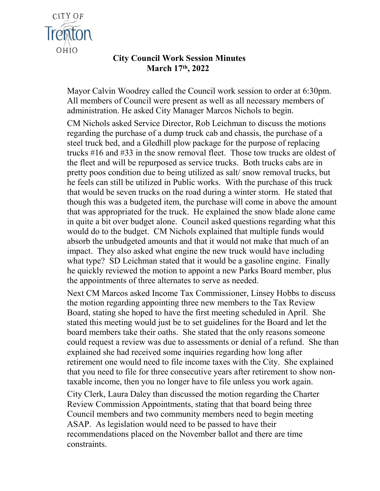

## **City Council Work Session Minutes March 17th, 2022**

Mayor Calvin Woodrey called the Council work session to order at 6:30pm. All members of Council were present as well as all necessary members of administration. He asked City Manager Marcos Nichols to begin.

CM Nichols asked Service Director, Rob Leichman to discuss the motions regarding the purchase of a dump truck cab and chassis, the purchase of a steel truck bed, and a Gledhill plow package for the purpose of replacing trucks #16 and #33 in the snow removal fleet. Those tow trucks are oldest of the fleet and will be repurposed as service trucks. Both trucks cabs are in pretty poos condition due to being utilized as salt/ snow removal trucks, but he feels can still be utilized in Public works. With the purchase of this truck that would be seven trucks on the road during a winter storm. He stated that though this was a budgeted item, the purchase will come in above the amount that was appropriated for the truck. He explained the snow blade alone came in quite a bit over budget alone. Council asked questions regarding what this would do to the budget. CM Nichols explained that multiple funds would absorb the unbudgeted amounts and that it would not make that much of an impact. They also asked what engine the new truck would have including what type? SD Leichman stated that it would be a gasoline engine. Finally he quickly reviewed the motion to appoint a new Parks Board member, plus the appointments of three alternates to serve as needed.

Next CM Marcos asked Income Tax Commissioner, Linsey Hobbs to discuss the motion regarding appointing three new members to the Tax Review Board, stating she hoped to have the first meeting scheduled in April. She stated this meeting would just be to set guidelines for the Board and let the board members take their oaths. She stated that the only reasons someone could request a review was due to assessments or denial of a refund. She than explained she had received some inquiries regarding how long after retirement one would need to file income taxes with the City. She explained that you need to file for three consecutive years after retirement to show nontaxable income, then you no longer have to file unless you work again.

City Clerk, Laura Daley than discussed the motion regarding the Charter Review Commission Appointments, stating that that board being three Council members and two community members need to begin meeting ASAP. As legislation would need to be passed to have their recommendations placed on the November ballot and there are time constraints.